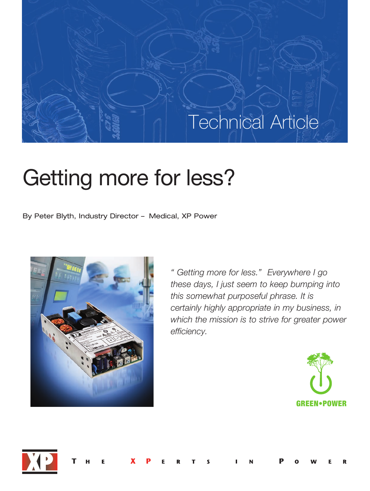## Technical Article

# Getting more for less?

By Peter Blyth, Industry Director – Medical, XP Power



*" Getting more for less." Everywhere I go these days, I just seem to keep bumping into this somewhat purposeful phrase. It is certainly highly appropriate in my business, in which the mission is to strive for greater power efficiency.*



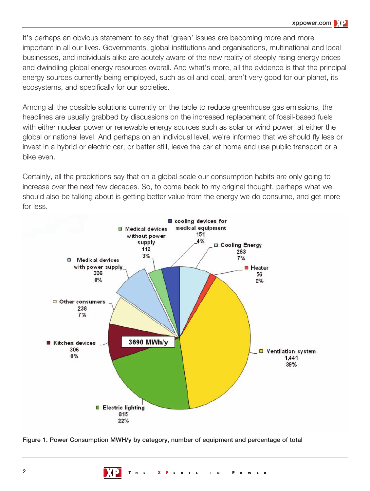It's perhaps an obvious statement to say that 'green' issues are becoming more and more important in all our lives. Governments, global institutions and organisations, multinational and local businesses, and individuals alike are acutely aware of the new reality of steeply rising energy prices and dwindling global energy resources overall. And what's more, all the evidence is that the principal energy sources currently being employed, such as oil and coal, aren't very good for our planet, its ecosystems, and specifically for our societies.

Among all the possible solutions currently on the table to reduce greenhouse gas emissions, the headlines are usually grabbed by discussions on the increased replacement of fossil-based fuels with either nuclear power or renewable energy sources such as solar or wind power, at either the global or national level. And perhaps on an individual level, we're informed that we should fly less or invest in a hybrid or electric car; or better still, leave the car at home and use public transport or a bike even.

Certainly, all the predictions say that on a global scale our consumption habits are only going to increase over the next few decades. So, to come back to my original thought, perhaps what we should also be talking about is getting better value from the energy we do consume, and get more for less.



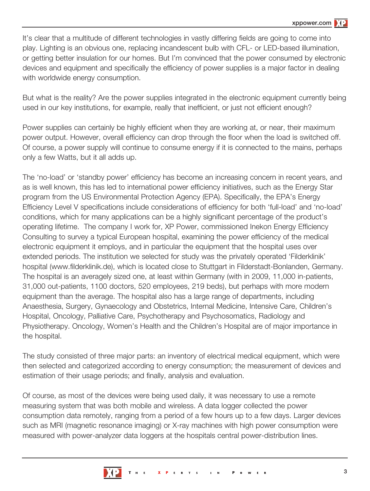It's clear that a multitude of different technologies in vastly differing fields are going to come into play. Lighting is an obvious one, replacing incandescent bulb with CFL- or LED-based illumination, or getting better insulation for our homes. But I'm convinced that the power consumed by electronic devices and equipment and specifically the efficiency of power supplies is a major factor in dealing with worldwide energy consumption.

But what is the reality? Are the power supplies integrated in the electronic equipment currently being used in our key institutions, for example, really that inefficient, or just not efficient enough?

Power supplies can certainly be highly efficient when they are working at, or near, their maximum power output. However, overall efficiency can drop through the floor when the load is switched off. Of course, a power supply will continue to consume energy if it is connected to the mains, perhaps only a few Watts, but it all adds up.

The 'no-load' or 'standby power' efficiency has become an increasing concern in recent years, and as is well known, this has led to international power efficiency initiatives, such as the Energy Star program from the US Environmental Protection Agency (EPA). Specifically, the EPA's Energy Efficiency Level V specifications include considerations of efficiency for both 'full-load' and 'no-load' conditions, which for many applications can be a highly significant percentage of the product's operating lifetime. The company I work for, XP Power, commissioned Inekon Energy Efficiency Consulting to survey a typical European hospital, examining the power efficiency of the medical electronic equipment it employs, and in particular the equipment that the hospital uses over extended periods. The institution we selected for study was the privately operated 'Filderklinik' hospital (www.filderklinik.de), which is located close to Stuttgart in Filderstadt-Bonlanden, Germany. The hospital is an averagely sized one, at least within Germany (with in 2009, 11,000 in-patients, 31,000 out-patients, 1100 doctors, 520 employees, 219 beds), but perhaps with more modern equipment than the average. The hospital also has a large range of departments, including Anaesthesia, Surgery, Gynaecology and Obstetrics, Internal Medicine, Intensive Care, Children's Hospital, Oncology, Palliative Care, Psychotherapy and Psychosomatics, Radiology and Physiotherapy. Oncology, Women's Health and the Children's Hospital are of major importance in the hospital.

The study consisted of three major parts: an inventory of electrical medical equipment, which were then selected and categorized according to energy consumption; the measurement of devices and estimation of their usage periods; and finally, analysis and evaluation.

Of course, as most of the devices were being used daily, it was necessary to use a remote measuring system that was both mobile and wireless. A data logger collected the power consumption data remotely, ranging from a period of a few hours up to a few days. Larger devices such as MRI (magnetic resonance imaging) or X-ray machines with high power consumption were measured with power-analyzer data loggers at the hospitals central power-distribution lines.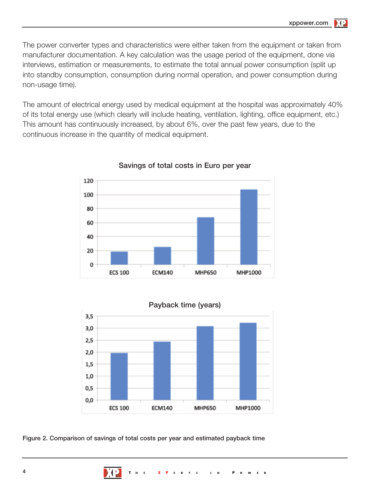The power converter types and characteristics were either taken from the equipment or taken from manufacturer documentation. A key calculation was the usage period of the equipment, done via interviews, estimation or measurements, to estimate the total annual power consumption (split up into standby consumption, consumption during normal operation, and power consumption during non-usage time).

The amount of electrical energy used by medical equipment at the hospital was approximately 40% of its total energy use (which clearly will include heating, ventilation, lighting, office equipment, etc.) This amount has continuously increased, by about 6%, over the past few years, due to the continuous increase in the quantity of medical equipment.



Savings of total costs in Euro per year



Figure 2. Comparison of savings of total costs per year and estimated payback time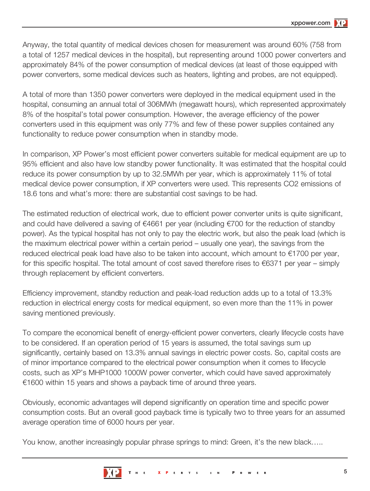Anyway, the total quantity of medical devices chosen for measurement was around 60% (758 from a total of 1257 medical devices in the hospital), but representing around 1000 power converters and approximately 84% of the power consumption of medical devices (at least of those equipped with power converters, some medical devices such as heaters, lighting and probes, are not equipped).

A total of more than 1350 power converters were deployed in the medical equipment used in the hospital, consuming an annual total of 306MWh (megawatt hours), which represented approximately 8% of the hospital's total power consumption. However, the average efficiency of the power converters used in this equipment was only 77% and few of these power supplies contained any functionality to reduce power consumption when in standby mode.

In comparison, XP Power's most efficient power converters suitable for medical equipment are up to 95% efficient and also have low standby power functionality. It was estimated that the hospital could reduce its power consumption by up to 32.5MWh per year, which is approximately 11% of total medical device power consumption, if XP converters were used. This represents CO2 emissions of 18.6 tons and what's more: there are substantial cost savings to be had.

The estimated reduction of electrical work, due to efficient power converter units is quite significant, and could have delivered a saving of €4661 per year (including €700 for the reduction of standby power). As the typical hospital has not only to pay the electric work, but also the peak load (which is the maximum electrical power within a certain period – usually one year), the savings from the reduced electrical peak load have also to be taken into account, which amount to €1700 per year, for this specific hospital. The total amount of cost saved therefore rises to  $\epsilon$ 6371 per year – simply through replacement by efficient converters.

Efficiency improvement, standby reduction and peak-load reduction adds up to a total of 13.3% reduction in electrical energy costs for medical equipment, so even more than the 11% in power saving mentioned previously.

To compare the economical benefit of energy-efficient power converters, clearly lifecycle costs have to be considered. If an operation period of 15 years is assumed, the total savings sum up significantly, certainly based on 13.3% annual savings in electric power costs. So, capital costs are of minor importance compared to the electrical power consumption when it comes to lifecycle costs, such as XP's MHP1000 1000W power converter, which could have saved approximately €1600 within 15 years and shows a payback time of around three years.

Obviously, economic advantages will depend significantly on operation time and specific power consumption costs. But an overall good payback time is typically two to three years for an assumed average operation time of 6000 hours per year.

You know, another increasingly popular phrase springs to mind: Green, it's the new black…..